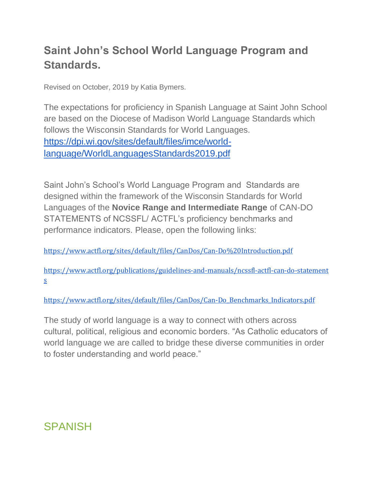# **Saint John's School World Language Program and Standards.**

Revised on October, 2019 by Katia Bymers.

The expectations for proficiency in Spanish Language at Saint John School are based on the Diocese of Madison World Language Standards which follows the Wisconsin Standards for World Languages. [https://dpi.wi.gov/sites/default/files/imce/world](https://dpi.wi.gov/sites/default/files/imce/world-language/WorldLanguagesStandards2019.pdf)[language/WorldLanguagesStandards2019.pdf](https://dpi.wi.gov/sites/default/files/imce/world-language/WorldLanguagesStandards2019.pdf)

Saint John's School's World Language Program and Standards are designed within the framework of the Wisconsin Standards for World Languages of the **Novice Range and Intermediate Range** of CAN-DO STATEMENTS of NCSSFL/ ACTFL's proficiency benchmarks and performance indicators. Please, open the following links:

<https://www.actfl.org/sites/default/files/CanDos/Can-Do%20Introduction.pdf>

[https://www.actfl.org/publications/guidelines-and-manuals/ncssfl-actfl-can-do-statement](https://www.actfl.org/publications/guidelines-and-manuals/ncssfl-actfl-can-do-statements) [s](https://www.actfl.org/publications/guidelines-and-manuals/ncssfl-actfl-can-do-statements)

[https://www.actfl.org/sites/default/files/CanDos/Can-Do\\_Benchmarks\\_Indicators.pdf](https://www.actfl.org/sites/default/files/CanDos/Can-Do_Benchmarks_Indicators.pdf)

The study of world language is a way to connect with others across cultural, political, religious and economic borders. "As Catholic educators of world language we are called to bridge these diverse communities in order to foster understanding and world peace."

# **SPANISH**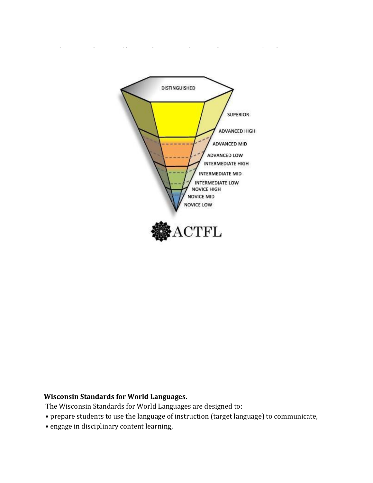

#### **Wisconsin Standards for World Languages.**

The Wisconsin Standards for World Languages are designed to:

- prepare students to use the language of instruction (target language) to communicate,
- engage in disciplinary content learning,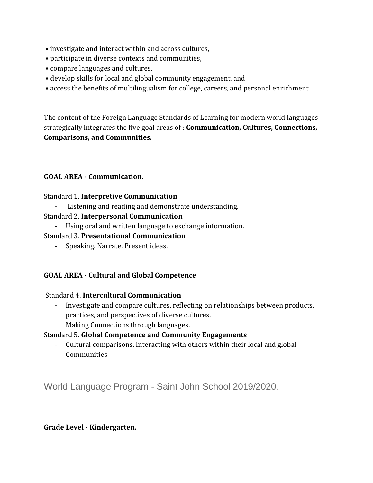- investigate and interact within and across cultures,
- participate in diverse contexts and communities,
- compare languages and cultures,
- develop skills for local and global community engagement, and
- access the benefits of multilingualism for college, careers, and personal enrichment.

The content of the Foreign Language Standards of Learning for modern world languages strategically integrates the five goal areas of : **Communication, Cultures, Connections, Comparisons, and Communities.**

#### **GOAL AREA - Communication.**

#### Standard 1. **Interpretive Communication**

- Listening and reading and demonstrate understanding.
- Standard 2. **Interpersonal Communication** 
	- Using oral and written language to exchange information.

#### Standard 3. **Presentational Communication**

- Speaking. Narrate. Present ideas.

## **GOAL AREA - Cultural and Global Competence**

#### Standard 4. **Intercultural Communication**

Investigate and compare cultures, reflecting on relationships between products, practices, and perspectives of diverse cultures. Making Connections through languages.

#### Standard 5. **Global Competence and Community Engagements**

- Cultural comparisons. Interacting with others within their local and global **Communities** 

World Language Program - Saint John School 2019/2020.

#### **Grade Level - Kindergarten.**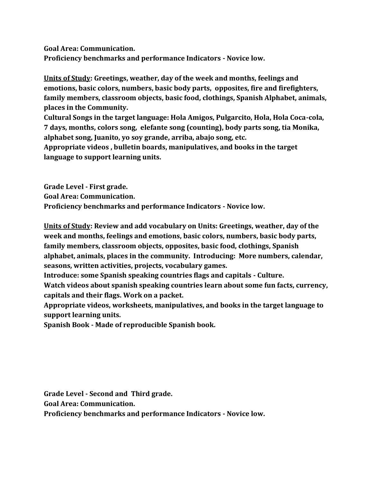**Goal Area: Communication. Proficiency benchmarks and performance Indicators - Novice low.**

**Units of Study: Greetings, weather, day of the week and months, feelings and emotions, basic colors, numbers, basic body parts, opposites, fire and firefighters, family members, classroom objects, basic food, clothings, Spanish Alphabet, animals, places in the Community.** 

**Cultural Songs in the target language: Hola Amigos, Pulgarcito, Hola, Hola Coca-cola, 7 days, months, colors song, elefante song (counting), body parts song, tia Monika, alphabet song, Juanito, yo soy grande, arriba, abajo song, etc.**

**Appropriate videos , bulletin boards, manipulatives, and books in the target language to support learning units.**

**Grade Level - First grade. Goal Area: Communication. Proficiency benchmarks and performance Indicators - Novice low.**

**Units of Study: Review and add vocabulary on Units: Greetings, weather, day of the week and months, feelings and emotions, basic colors, numbers, basic body parts, family members, classroom objects, opposites, basic food, clothings, Spanish alphabet, animals, places in the community. Introducing: More numbers, calendar, seasons, written activities, projects, vocabulary games.**

**Introduce: some Spanish speaking countries flags and capitals - Culture.**

**Watch videos about spanish speaking countries learn about some fun facts, currency, capitals and their flags. Work on a packet.**

**Appropriate videos, worksheets, manipulatives, and books in the target language to support learning units.**

**Spanish Book - Made of reproducible Spanish book.**

**Grade Level - Second and Third grade.** 

**Goal Area: Communication.**

**Proficiency benchmarks and performance Indicators - Novice low.**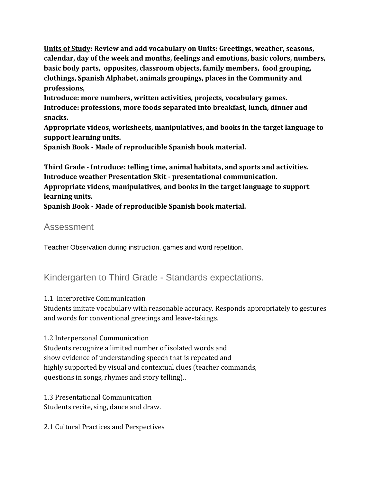**Units of Study: Review and add vocabulary on Units: Greetings, weather, seasons, calendar, day of the week and months, feelings and emotions, basic colors, numbers, basic body parts, opposites, classroom objects, family members, food grouping, clothings, Spanish Alphabet, animals groupings, places in the Community and professions,** 

**Introduce: more numbers, written activities, projects, vocabulary games. Introduce: professions, more foods separated into breakfast, lunch, dinner and snacks.** 

**Appropriate videos, worksheets, manipulatives, and books in the target language to support learning units.**

**Spanish Book - Made of reproducible Spanish book material.**

**Third Grade - Introduce: telling time, animal habitats, and sports and activities. Introduce weather Presentation Skit - presentational communication. Appropriate videos, manipulatives, and books in the target language to support learning units.**

**Spanish Book - Made of reproducible Spanish book material.**

# Assessment

Teacher Observation during instruction, games and word repetition.

# Kindergarten to Third Grade - Standards expectations.

## 1.1 Interpretive Communication

Students imitate vocabulary with reasonable accuracy. Responds appropriately to gestures and words for conventional greetings and leave-takings.

## 1.2 Interpersonal Communication

Students recognize a limited number of isolated words and show evidence of understanding speech that is repeated and highly supported by visual and contextual clues (teacher commands, questions in songs, rhymes and story telling)..

1.3 Presentational Communication Students recite, sing, dance and draw.

2.1 Cultural Practices and Perspectives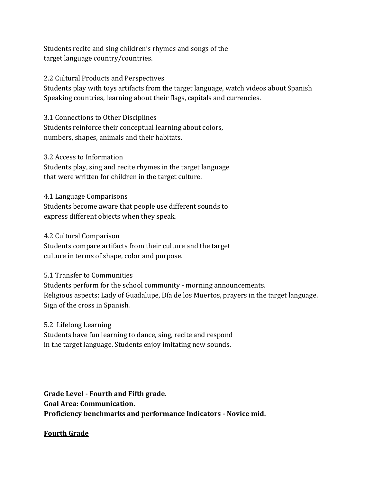Students recite and sing children's rhymes and songs of the target language country/countries.

2.2 Cultural Products and Perspectives Students play with toys artifacts from the target language, watch videos about Spanish Speaking countries, learning about their flags, capitals and currencies.

3.1 Connections to Other Disciplines Students reinforce their conceptual learning about colors, numbers, shapes, animals and their habitats.

3.2 Access to Information Students play, sing and recite rhymes in the target language that were written for children in the target culture.

4.1 Language Comparisons Students become aware that people use different sounds to express different objects when they speak.

4.2 Cultural Comparison

Students compare artifacts from their culture and the target culture in terms of shape, color and purpose.

## 5.1 Transfer to Communities

Students perform for the school community - morning announcements. Religious aspects: Lady of Guadalupe, Día de los Muertos, prayers in the target language. Sign of the cross in Spanish.

## 5.2 Lifelong Learning

Students have fun learning to dance, sing, recite and respond in the target language. Students enjoy imitating new sounds.

**Grade Level - Fourth and Fifth grade. Goal Area: Communication. Proficiency benchmarks and performance Indicators - Novice mid.**

## **Fourth Grade**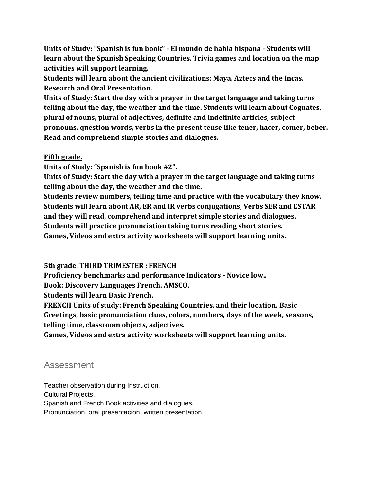**Units of Study: "Spanish is fun book" - El mundo de habla hispana - Students will learn about the Spanish Speaking Countries. Trivia games and location on the map activities will support learning.**

**Students will learn about the ancient civilizations: Maya, Aztecs and the Incas. Research and Oral Presentation.**

**Units of Study: Start the day with a prayer in the target language and taking turns telling about the day, the weather and the time. Students will learn about Cognates, plural of nouns, plural of adjectives, definite and indefinite articles, subject pronouns, question words, verbs in the present tense like tener, hacer, comer, beber. Read and comprehend simple stories and dialogues.** 

#### **Fifth grade.**

**Units of Study: "Spanish is fun book #2".** 

**Units of Study: Start the day with a prayer in the target language and taking turns telling about the day, the weather and the time.** 

**Students review numbers, telling time and practice with the vocabulary they know. Students will learn about AR, ER and IR verbs conjugations, Verbs SER and ESTAR and they will read, comprehend and interpret simple stories and dialogues. Students will practice pronunciation taking turns reading short stories. Games, Videos and extra activity worksheets will support learning units.**

**5th grade. THIRD TRIMESTER : FRENCH**

**Proficiency benchmarks and performance Indicators - Novice low..**

**Book: Discovery Languages French. AMSCO.** 

**Students will learn Basic French.** 

**FRENCH Units of study: French Speaking Countries, and their location. Basic Greetings, basic pronunciation clues, colors, numbers, days of the week, seasons, telling time, classroom objects, adjectives.** 

**Games, Videos and extra activity worksheets will support learning units.**

## Assessment

Teacher observation during Instruction. Cultural Projects. Spanish and French Book activities and dialogues. Pronunciation, oral presentacion, written presentation.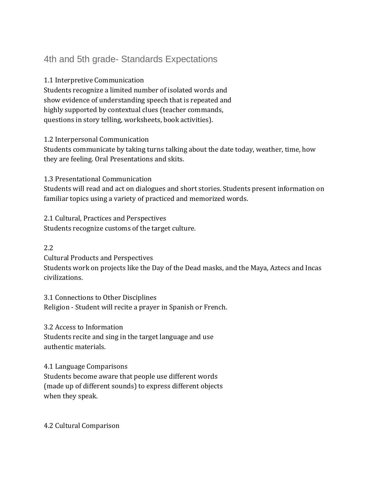# 4th and 5th grade- Standards Expectations

1.1 Interpretive Communication

Students recognize a limited number of isolated words and show evidence of understanding speech that is repeated and highly supported by contextual clues (teacher commands, questions in story telling, worksheets, book activities).

1.2 Interpersonal Communication

Students communicate by taking turns talking about the date today, weather, time, how they are feeling. Oral Presentations and skits.

1.3 Presentational Communication

Students will read and act on dialogues and short stories. Students present information on familiar topics using a variety of practiced and memorized words.

2.1 Cultural, Practices and Perspectives Students recognize customs of the target culture.

2.2

Cultural Products and Perspectives

Students work on projects like the Day of the Dead masks, and the Maya, Aztecs and Incas civilizations.

3.1 Connections to Other Disciplines Religion - Student will recite a prayer in Spanish or French.

3.2 Access to Information

Students recite and sing in the target language and use authentic materials.

4.1 Language Comparisons

Students become aware that people use different words (made up of different sounds) to express different objects when they speak.

4.2 Cultural Comparison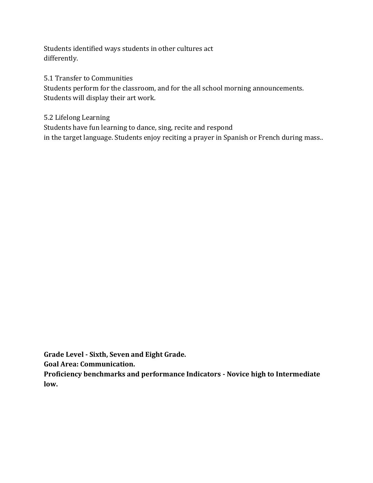Students identified ways students in other cultures act differently.

5.1 Transfer to Communities Students perform for the classroom, and for the all school morning announcements. Students will display their art work.

5.2 Lifelong Learning Students have fun learning to dance, sing, recite and respond in the target language. Students enjoy reciting a prayer in Spanish or French during mass..

**Grade Level - Sixth, Seven and Eight Grade.**

**Goal Area: Communication.**

**Proficiency benchmarks and performance Indicators - Novice high to Intermediate low.**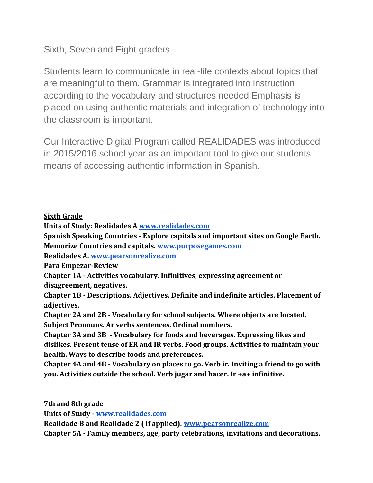Sixth, Seven and Eight graders.

Students learn to communicate in real-life contexts about topics that are meaningful to them. Grammar is integrated into instruction according to the vocabulary and structures needed.Emphasis is placed on using authentic materials and integration of technology into the classroom is important.

Our Interactive Digital Program called REALIDADES was introduced in 2015/2016 school year as an important tool to give our students means of accessing authentic information in Spanish.

## **Sixth Grade**

**Units of Study: Realidades A [www.realidades.com](http://www.realidades.com/)**

**Spanish Speaking Countries - Explore capitals and important sites on Google Earth. Memorize Countries and capitals. [www.purposegames.com](http://www.purposegames.com/)**

**Realidades A[. www.pearsonrealize.com](http://www.pearsonrealize.com/)**

**Para Empezar-Review**

**Chapter 1A - Activities vocabulary. Infinitives, expressing agreement or disagreement, negatives.**

**Chapter 1B - Descriptions. Adjectives. Definite and indefinite articles. Placement of adjectives.**

**Chapter 2A and 2B - Vocabulary for school subjects. Where objects are located. Subject Pronouns. Ar verbs sentences. Ordinal numbers.**

**Chapter 3A and 3B - Vocabulary for foods and beverages. Expressing likes and dislikes. Present tense of ER and IR verbs. Food groups. Activities to maintain your health. Ways to describe foods and preferences.**

**Chapter 4A and 4B - Vocabulary on places to go. Verb ir. Inviting a friend to go with you. Activities outside the school. Verb jugar and hacer. Ir +a+ infinitive.**

**7th and 8th grade** 

**Units of Study - [www.realidades.com](http://www.realidades.com/)**

**Realidade B and Realidade 2 ( if applied). [www.pearsonrealize.com](http://www.pearsonrealize.com/)**

**Chapter 5A - Family members, age, party celebrations, invitations and decorations.**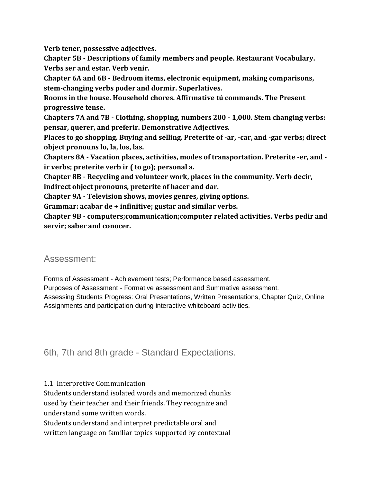**Verb tener, possessive adjectives.**

**Chapter 5B - Descriptions of family members and people. Restaurant Vocabulary. Verbs ser and estar. Verb venir.**

**Chapter 6A and 6B - Bedroom items, electronic equipment, making comparisons, stem-changing verbs poder and dormir. Superlatives.**

**Rooms in the house. Household chores. Affirmative tú commands. The Present progressive tense.**

**Chapters 7A and 7B - Clothing, shopping, numbers 200 - 1,000. Stem changing verbs: pensar, querer, and preferir. Demonstrative Adjectives.**

**Places to go shopping. Buying and selling. Preterite of -ar, -car, and -gar verbs; direct object pronouns lo, la, los, las.**

**Chapters 8A - Vacation places, activities, modes of transportation. Preterite -er, and ir verbs; preterite verb ir ( to go); personal a.**

**Chapter 8B - Recycling and volunteer work, places in the community. Verb decir, indirect object pronouns, preterite of hacer and dar.** 

**Chapter 9A - Television shows, movies genres, giving options.**

**Grammar: acabar de + infinitive; gustar and similar verbs.**

**Chapter 9B - computers;communication;computer related activities. Verbs pedir and servir; saber and conocer.**

# Assessment:

Forms of Assessment - Achievement tests; Performance based assessment.

Purposes of Assessment - Formative assessment and Summative assessment. Assessing Students Progress: Oral Presentations, Written Presentations, Chapter Quiz, Online Assignments and participation during interactive whiteboard activities.

# 6th, 7th and 8th grade - Standard Expectations.

#### 1.1 Interpretive Communication

Students understand isolated words and memorized chunks used by their teacher and their friends. They recognize and understand some written words.

Students understand and interpret predictable oral and written language on familiar topics supported by contextual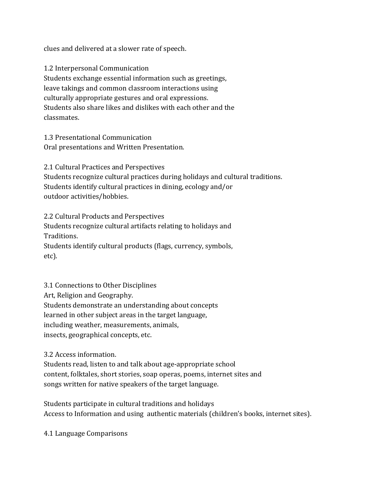clues and delivered at a slower rate of speech.

1.2 Interpersonal Communication Students exchange essential information such as greetings, leave takings and common classroom interactions using culturally appropriate gestures and oral expressions. Students also share likes and dislikes with each other and the classmates.

1.3 Presentational Communication Oral presentations and Written Presentation.

2.1 Cultural Practices and Perspectives

Students recognize cultural practices during holidays and cultural traditions. Students identify cultural practices in dining, ecology and/or outdoor activities/hobbies.

2.2 Cultural Products and Perspectives Students recognize cultural artifacts relating to holidays and Traditions. Students identify cultural products (flags, currency, symbols, etc).

3.1 Connections to Other Disciplines Art, Religion and Geography. Students demonstrate an understanding about concepts learned in other subject areas in the target language, including weather, measurements, animals, insects, geographical concepts, etc.

3.2 Access information.

Students read, listen to and talk about age-appropriate school content, folktales, short stories, soap operas, poems, internet sites and songs written for native speakers of the target language.

Students participate in cultural traditions and holidays Access to Information and using authentic materials (children's books, internet sites).

4.1 Language Comparisons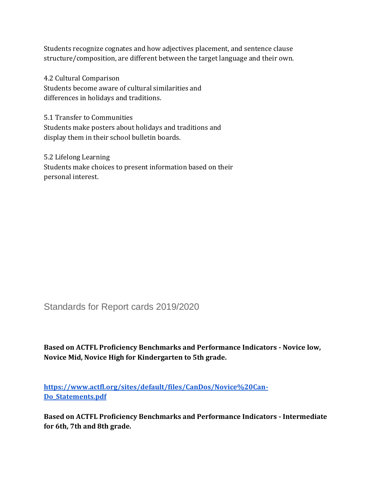Students recognize cognates and how adjectives placement, and sentence clause structure/composition, are different between the target language and their own.

4.2 Cultural Comparison Students become aware of cultural similarities and differences in holidays and traditions.

5.1 Transfer to Communities Students make posters about holidays and traditions and display them in their school bulletin boards.

5.2 Lifelong Learning Students make choices to present information based on their personal interest.

Standards for Report cards 2019/2020

**Based on ACTFL Proficiency Benchmarks and Performance Indicators - Novice low, Novice Mid, Novice High for Kindergarten to 5th grade.**

**[https://www.actfl.org/sites/default/files/CanDos/Novice%20Can-](https://www.actfl.org/sites/default/files/CanDos/Novice%20Can-Do_Statements.pdf)[Do\\_Statements.pdf](https://www.actfl.org/sites/default/files/CanDos/Novice%20Can-Do_Statements.pdf)**

**Based on ACTFL Proficiency Benchmarks and Performance Indicators - Intermediate for 6th, 7th and 8th grade.**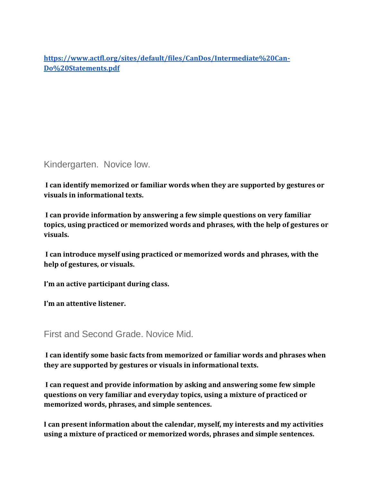**[https://www.actfl.org/sites/default/files/CanDos/Intermediate%20Can-](https://www.actfl.org/sites/default/files/CanDos/Intermediate%20Can-Do%20Statements.pdf)[Do%20Statements.pdf](https://www.actfl.org/sites/default/files/CanDos/Intermediate%20Can-Do%20Statements.pdf)**

# Kindergarten. Novice low.

**I can identify memorized or familiar words when they are supported by gestures or visuals in informational texts.**

**I can provide information by answering a few simple questions on very familiar topics, using practiced or memorized words and phrases, with the help of gestures or visuals.** 

**I can introduce myself using practiced or memorized words and phrases, with the help of gestures, or visuals.**

**I'm an active participant during class.**

**I'm an attentive listener.**

First and Second Grade. Novice Mid.

**I can identify some basic facts from memorized or familiar words and phrases when they are supported by gestures or visuals in informational texts.**

**I can request and provide information by asking and answering some few simple questions on very familiar and everyday topics, using a mixture of practiced or memorized words, phrases, and simple sentences.**

**I can present information about the calendar, myself, my interests and my activities using a mixture of practiced or memorized words, phrases and simple sentences.**